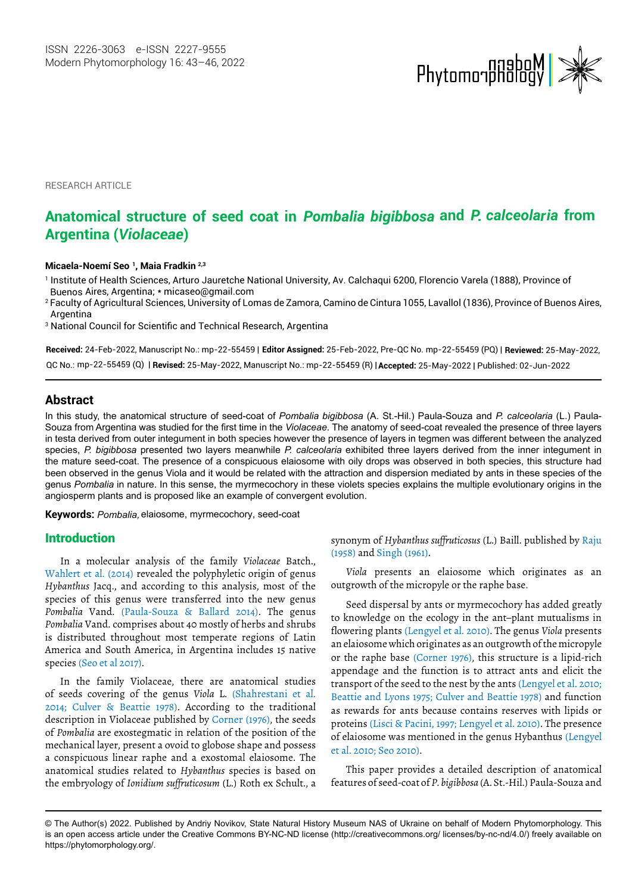

RESEARCH ARTICLE

# **Argentina (***Violaceae***) Anatomical structure of seed coat in** *Pombalia bigibbosa* **and** *P. calceolaria* **from**

#### **Micaela-Noemí Seo 1, Maia Fradkin 2,3**

1 Institute of Health Sciences, Arturo Jauretche National University, Av. Calchaqui 6200, Florencio Varela (1888), Province of Buenos Aires, Argentina; \* micaseo@gmail.com

<sup>2</sup> Faculty of Agricultural Sciences, University of Lomas de Zamora, Camino de Cintura 1055, Lavallol (1836), Province of Buenos Aires, Argentina

<sup>3</sup> National Council for Scientific and Technical Research, Argentina

**Received:** 24-Feb-2022, Manuscript No.: mp-22-55459 | **Editor Assigned:** 25-Feb-2022, Pre-QC No. mp-22-55459 (PQ) | **Reviewed:** 25-May-2022, mp-22-55459 (Q) | **Revised:** 25-May-2022, Manuscript No.: mp-22-55459 (R) | **Accepted:** 25-May-2022 | Published: 02-Jun-2022 QC No.:

#### **Abstract**

In this study, the anatomical structure of seed-coat of *Pombalia bigibbosa* (A. St.-Hil.) Paula-Souza and *P. calceolaria* (L.) Paula-Souza from Argentina was studied for the first time in the *Violaceae*. The anatomy of seed-coat revealed the presence of three layers in testa derived from outer integument in both species however the presence of layers in tegmen was different between the analyzed species, *P. bigibbosa* presented two layers meanwhile *P. calceolaria* exhibited three layers derived from the inner integument in the mature seed-coat. The presence of a conspicuous elaiosome with oily drops was observed in both species, this structure had been observed in the genus Viola and it would be related with the attraction and dispersion mediated by ants in these species of the genus *Pombalia* in nature. In this sense, the myrmecochory in these violets species explains the multiple evolutionary origins in the angiosperm plants and is proposed like an example of convergent evolution.

**Keywords:** *Pombalia,* elaiosome, myrmecochory, seed-coat

#### Introduction

In a molecular analysis of the family *Violaceae* Batch., Wahlert et al. (2014) revealed the polyphyletic origin of genus *Hybanthus* Jacq., and according to this analysis, most of the species of this genus were transferred into the new genus *Pombalia* Vand. (Paula-Souza & Ballard 2014). The genus *Pombalia* Vand. comprises about 40 mostly of herbs and shrubs is distributed throughout most temperate regions of Latin America and South America, in Argentina includes 15 native species (Seo et al 2017).

In the family Violaceae, there are anatomical studies of seeds covering of the genus *Viola* L. (Shahrestani et al. 2014; Culver & Beattie 1978). According to the traditional description in Violaceae published by Corner (1976), the seeds of *Pombalia* are exostegmatic in relation of the position of the mechanical layer, present a ovoid to globose shape and possess a conspicuous linear raphe and a exostomal elaiosome. The anatomical studies related to *Hybanthus* species is based on the embryology of *Ionidium suffruticosum* (L.) Roth ex Schult., a synonym of *Hybanthus suffruticosus* (L.) Baill. published by Raju (1958) and Singh (1961).

*Viola* presents an elaiosome which originates as an outgrowth of the micropyle or the raphe base.

Seed dispersal by ants or myrmecochory has added greatly to knowledge on the ecology in the ant–plant mutualisms in flowering plants (Lengyel et al. 2010). The genus *Viola* presents an elaiosome which originates as an outgrowth of the micropyle or the raphe base (Corner 1976), this structure is a lipid-rich appendage and the function is to attract ants and elicit the transport of the seed to the nest by the ants (Lengyel et al. 2010; Beattie and Lyons 1975; Culver and Beattie 1978) and function as rewards for ants because contains reserves with lipids or proteins (Lisci & Pacini, 1997; Lengyel et al. 2010). The presence of elaiosome was mentioned in the genus Hybanthus (Lengyel et al. 2010; Seo 2010).

This paper provides a detailed description of anatomical features of seed-coat of *P. bigibbosa* (A. St.-Hil.) Paula-Souza and

<sup>©</sup> The Author(s) 2022. Published by Andriy Novikov, State Natural History Museum NAS of Ukraine on behalf of Modern Phytomorphology. This is an open access article under the Creative Commons BY-NC-ND license (http://creativecommons.org/ licenses/by-nc-nd/4.0/) freely available on https://phytomorphology.org/.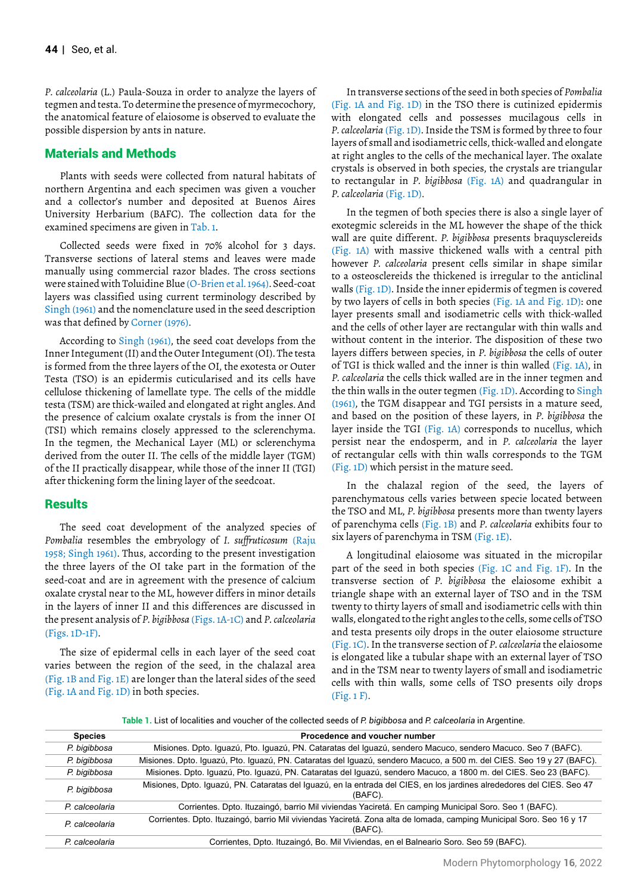*P. calceolaria* (L.) Paula-Souza in order to analyze the layers of tegmen and testa. To determine the presence of myrmecochory, the anatomical feature of elaiosome is observed to evaluate the possible dispersion by ants in nature.

## Materials and Methods

Plants with seeds were collected from natural habitats of northern Argentina and each specimen was given a voucher and a collector's number and deposited at Buenos Aires University Herbarium (BAFC). The collection data for the examined specimens are given in Tab. 1.

Collected seeds were fixed in 70% alcohol for 3 days. Transverse sections of lateral stems and leaves were made manually using commercial razor blades. The cross sections were stained with Toluidine Blue (O-Brien et al. 1964). Seed-coat layers was classified using current terminology described by Singh (1961) and the nomenclature used in the seed description was that defined by Corner (1976).

According to Singh (1961), the seed coat develops from the Inner Integument (II) and the Outer Integument (OI). The testa is formed from the three layers of the OI, the exotesta or Outer Testa (TSO) is an epidermis cuticularised and its cells have cellulose thickening of lamellate type. The cells of the middle testa (TSM) are thick-wailed and elongated at right angles. And the presence of calcium oxalate crystals is from the inner OI (TSI) which remains closely appressed to the sclerenchyma. In the tegmen, the Mechanical Layer (ML) or sclerenchyma derived from the outer II. The cells of the middle layer (TGM) of the II practically disappear, while those of the inner II (TGI) after thickening form the lining layer of the seedcoat.

## **Results**

The seed coat development of the analyzed species of *Pombalia* resembles the embryology of *I. suffruticosum* (Raju 1958; Singh 1961). Thus, according to the present investigation the three layers of the OI take part in the formation of the seed-coat and are in agreement with the presence of calcium oxalate crystal near to the ML, however differs in minor details in the layers of inner II and this differences are discussed in the present analysis of *P. bigibbosa* (Figs. 1A-1C) and *P. calceolaria* (Figs. 1D-1F).

The size of epidermal cells in each layer of the seed coat varies between the region of the seed, in the chalazal area (Fig. 1B and Fig. 1E) are longer than the lateral sides of the seed (Fig. 1A and Fig. 1D) in both species.

In transverse sections of the seed in both species of *Pombalia* (Fig. 1A and Fig. 1D) in the TSO there is cutinized epidermis with elongated cells and possesses mucilagous cells in *P. calceolaria* (Fig. 1D). Inside the TSM is formed by three to four layers of small and isodiametric cells, thick-walled and elongate at right angles to the cells of the mechanical layer. The oxalate crystals is observed in both species, the crystals are triangular to rectangular in *P. bigibbosa* (Fig. 1A) and quadrangular in *P. calceolaria* (Fig. 1D).

In the tegmen of both species there is also a single layer of exotegmic sclereids in the ML however the shape of the thick wall are quite different. *P. bigibbosa* presents braquysclereids (Fig. 1A) with massive thickened walls with a central pith however *P. calceolaria* present cells similar in shape similar to a osteosclereids the thickened is irregular to the anticlinal walls (Fig. 1D). Inside the inner epidermis of tegmen is covered by two layers of cells in both species (Fig. 1A and Fig. 1D): one layer presents small and isodiametric cells with thick-walled and the cells of other layer are rectangular with thin walls and without content in the interior. The disposition of these two layers differs between species, in *P. bigibbosa* the cells of outer of TGI is thick walled and the inner is thin walled (Fig. 1A), in *P. calceolaria* the cells thick walled are in the inner tegmen and the thin walls in the outer tegmen (Fig. 1D). According to Singh (1961), the TGM disappear and TGI persists in a mature seed, and based on the position of these layers, in *P. bigibbosa* the layer inside the TGI (Fig. 1A) corresponds to nucellus, which persist near the endosperm, and in *P. calceolaria* the layer of rectangular cells with thin walls corresponds to the TGM (Fig. 1D) which persist in the mature seed.

In the chalazal region of the seed, the layers of parenchymatous cells varies between specie located between the TSO and ML, *P. bigibbosa* presents more than twenty layers of parenchyma cells (Fig. 1B) and *P. calceolaria* exhibits four to six layers of parenchyma in TSM (Fig. 1E).

A longitudinal elaiosome was situated in the micropilar part of the seed in both species (Fig. 1C and Fig. 1F). In the transverse section of *P. bigibbosa* the elaiosome exhibit a triangle shape with an external layer of TSO and in the TSM twenty to thirty layers of small and isodiametric cells with thin walls, elongated to the right angles to the cells, some cells of TSO and testa presents oily drops in the outer elaiosome structure (Fig. 1C). In the transverse section of *P. calceolaria* the elaiosome is elongated like a tubular shape with an external layer of TSO and in the TSM near to twenty layers of small and isodiametric cells with thin walls, some cells of TSO presents oily drops (Fig. 1 F).

**Table 1.** List of localities and voucher of the collected seeds of *P. bigibbosa* and *P. calceolaria* in Argentine.

| <b>Species</b> | Procedence and voucher number                                                                                                     |
|----------------|-----------------------------------------------------------------------------------------------------------------------------------|
| P. bigibbosa   | Misiones. Dpto. Iguazú, Pto. Iguazú, PN. Cataratas del Iguazú, sendero Macuco, sendero Macuco. Seo 7 (BAFC).                      |
| P. bigibbosa   | Misiones. Dpto. Iguazú, Pto. Iguazú, PN. Cataratas del Iguazú, sendero Macuco, a 500 m. del CIES. Seo 19 y 27 (BAFC).             |
| P. bigibbosa   | Misiones. Dpto. Iguazú, Pto. Iguazú, PN. Cataratas del Iguazú, sendero Macuco, a 1800 m. del CIES. Seo 23 (BAFC).                 |
| P. bigibbosa   | Misiones, Dpto. Iguazú, PN. Cataratas del Iguazú, en la entrada del CIES, en los jardines alrededores del CIES. Seo 47<br>(BAFC). |
| P calceolaria  | Corrientes. Dpto. Ituzaingó, barrio Mil viviendas Yaciretá. En camping Municipal Soro. Seo 1 (BAFC).                              |
| P. calceolaria | Corrientes. Dpto. Ituzaingó, barrio Mil viviendas Yaciretá. Zona alta de lomada, camping Municipal Soro. Seo 16 y 17<br>(BAFC).   |
| P. calceolaria | Corrientes, Dpto. Ituzaingó, Bo. Mil Viviendas, en el Balneario Soro. Seo 59 (BAFC).                                              |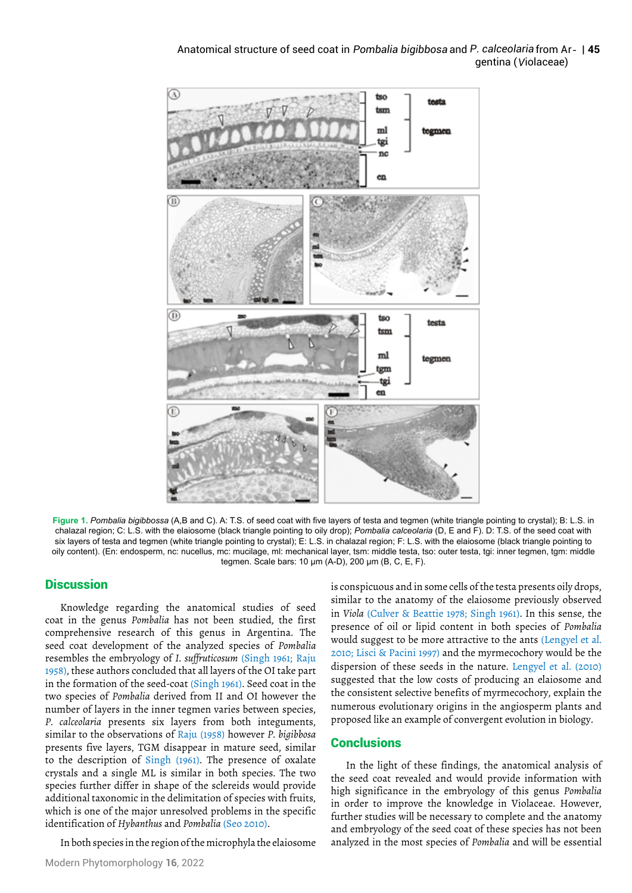

**Figure 1.** *Pombalia bigibbossa* (A,B and C). A: T.S. of seed coat with five layers of testa and tegmen (white triangle pointing to crystal); B: L.S. in chalazal region; C: L.S. with the elaiosome (black triangle pointing to oily drop); *Pombalia calceolaria* (D, E and F). D: T.S. of the seed coat with six layers of testa and tegmen (white triangle pointing to crystal); E: L.S. in chalazal region; F: L.S. with the elaiosome (black triangle pointing to oily content). (En: endosperm, nc: nucellus, mc: mucilage, ml: mechanical layer, tsm: middle testa, tso: outer testa, tgi: inner tegmen, tgm: middle tegmen. Scale bars: 10 μm (A-D), 200 μm (B, C, E, F).

## **Discussion**

Knowledge regarding the anatomical studies of seed coat in the genus *Pombalia* has not been studied, the first comprehensive research of this genus in Argentina. The seed coat development of the analyzed species of *Pombalia* resembles the embryology of *I. suffruticosum* (Singh 1961; Raju 1958), these authors concluded that all layers of the OI take part in the formation of the seed-coat (Singh 1961). Seed coat in the two species of *Pombalia* derived from II and OI however the number of layers in the inner tegmen varies between species, *P. calceolaria* presents six layers from both integuments, similar to the observations of Raju (1958) however *P. bigibbosa* presents five layers, TGM disappear in mature seed, similar to the description of Singh (1961). The presence of oxalate crystals and a single ML is similar in both species. The two species further differ in shape of the sclereids would provide additional taxonomic in the delimitation of species with fruits, which is one of the major unresolved problems in the specific identification of *Hybanthus* and *Pombalia* (Seo 2010).

In both species in the region of the microphyla the elaiosome

is conspicuous and in some cells of the testa presents oily drops, similar to the anatomy of the elaiosome previously observed in *Viola* (Culver & Beattie 1978; Singh 1961). In this sense, the presence of oil or lipid content in both species of *Pombalia* would suggest to be more attractive to the ants (Lengyel et al. 2010; Lisci & Pacini 1997) and the myrmecochory would be the dispersion of these seeds in the nature. Lengyel et al. (2010) suggested that the low costs of producing an elaiosome and the consistent selective benefits of myrmecochory, explain the numerous evolutionary origins in the angiosperm plants and proposed like an example of convergent evolution in biology.

## **Conclusions**

In the light of these findings, the anatomical analysis of the seed coat revealed and would provide information with high significance in the embryology of this genus *Pombalia* in order to improve the knowledge in Violaceae. However, further studies will be necessary to complete and the anatomy and embryology of the seed coat of these species has not been analyzed in the most species of *Pombalia* and will be essential